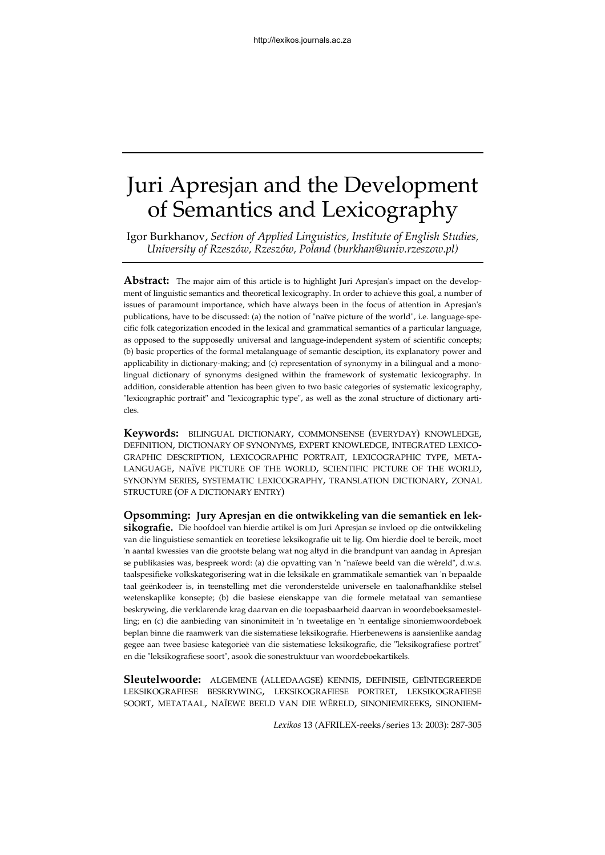# Juri Apresjan and the Development of Semantics and Lexicography

Igor Burkhanov, *Section of Applied Linguistics, Institute of English Studies, University of Rzeszów, Rzeszów, Poland (burkhan@univ.rzeszow.pl)*

**Abstract:** The major aim of this article is to highlight Juri Apresjan's impact on the development of linguistic semantics and theoretical lexicography. In order to achieve this goal, a number of issues of paramount importance, which have always been in the focus of attention in Apresjan's publications, have to be discussed: (a) the notion of "naïve picture of the world", i.e. language-specific folk categorization encoded in the lexical and grammatical semantics of a particular language, as opposed to the supposedly universal and language-independent system of scientific concepts; (b) basic properties of the formal metalanguage of semantic desciption, its explanatory power and applicability in dictionary-making; and (c) representation of synonymy in a bilingual and a monolingual dictionary of synonyms designed within the framework of systematic lexicography. In addition, considerable attention has been given to two basic categories of systematic lexicography, "lexicographic portrait" and "lexicographic type", as well as the zonal structure of dictionary articles.

**Keywords:** BILINGUAL DICTIONARY, COMMONSENSE (EVERYDAY) KNOWLEDGE, DEFINITION, DICTIONARY OF SYNONYMS, EXPERT KNOWLEDGE, INTEGRATED LEXICO-GRAPHIC DESCRIPTION, LEXICOGRAPHIC PORTRAIT, LEXICOGRAPHIC TYPE, META-LANGUAGE, NAÏVE PICTURE OF THE WORLD, SCIENTIFIC PICTURE OF THE WORLD, SYNONYM SERIES, SYSTEMATIC LEXICOGRAPHY, TRANSLATION DICTIONARY, ZONAL STRUCTURE (OF A DICTIONARY ENTRY)

**Opsomming: Jury Apresjan en die ontwikkeling van die semantiek en leksikografie.** Die hoofdoel van hierdie artikel is om Juri Apresjan se invloed op die ontwikkeling van die linguistiese semantiek en teoretiese leksikografie uit te lig. Om hierdie doel te bereik, moet 'n aantal kwessies van die grootste belang wat nog altyd in die brandpunt van aandag in Apresjan se publikasies was, bespreek word: (a) die opvatting van 'n "naïewe beeld van die wêreld", d.w.s. taalspesifieke volkskategorisering wat in die leksikale en grammatikale semantiek van 'n bepaalde taal geënkodeer is, in teenstelling met die veronderstelde universele en taalonafhanklike stelsel wetenskaplike konsepte; (b) die basiese eienskappe van die formele metataal van semantiese beskrywing, die verklarende krag daarvan en die toepasbaarheid daarvan in woordeboeksamestelling; en (c) die aanbieding van sinonimiteit in 'n tweetalige en 'n eentalige sinoniemwoordeboek beplan binne die raamwerk van die sistematiese leksikografie. Hierbenewens is aansienlike aandag gegee aan twee basiese kategorieë van die sistematiese leksikografie, die "leksikografiese portret" en die "leksikografiese soort", asook die sonestruktuur van woordeboekartikels.

**Sleutelwoorde:** ALGEMENE (ALLEDAAGSE) KENNIS, DEFINISIE, GEÏNTEGREERDE LEKSIKOGRAFIESE BESKRYWING, LEKSIKOGRAFIESE PORTRET, LEKSIKOGRAFIESE SOORT, METATAAL, NAÏEWE BEELD VAN DIE WÊRELD, SINONIEMREEKS, SINONIEM-

*Lexikos* 13 (AFRILEX-reeks/series 13: 2003): 287-305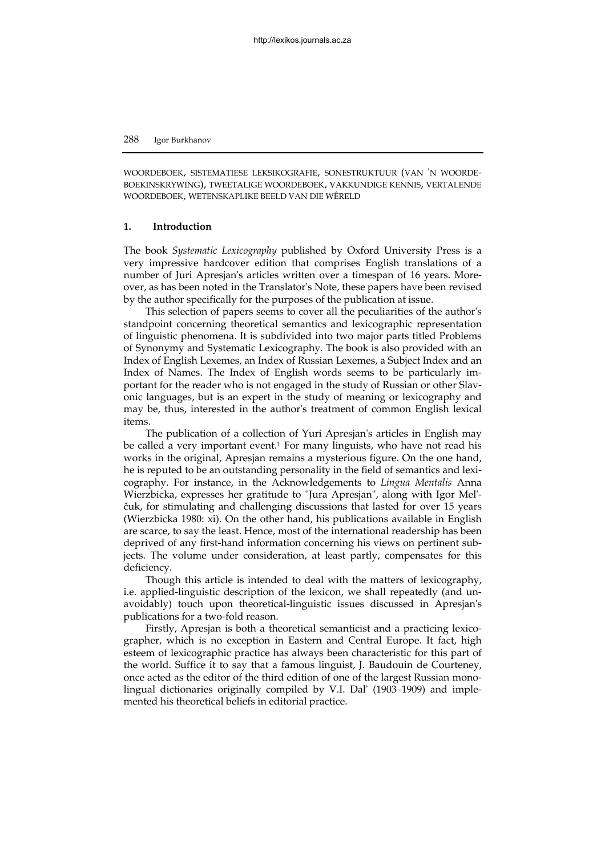WOORDEBOEK, SISTEMATIESE LEKSIKOGRAFIE, SONESTRUKTUUR (VAN 'N WOORDE-BOEKINSKRYWING), TWEETALIGE WOORDEBOEK, VAKKUNDIGE KENNIS, VERTALENDE WOORDEBOEK, WETENSKAPLIKE BEELD VAN DIE WÊRELD

### **1. Introduction**

The book *Systematic Lexicography* published by Oxford University Press is a very impressive hardcover edition that comprises English translations of a number of Juri Apresjan's articles written over a timespan of 16 years. Moreover, as has been noted in the Translator's Note, these papers have been revised by the author specifically for the purposes of the publication at issue.

This selection of papers seems to cover all the peculiarities of the author's standpoint concerning theoretical semantics and lexicographic representation of linguistic phenomena. It is subdivided into two major parts titled Problems of Synonymy and Systematic Lexicography. The book is also provided with an Index of English Lexemes, an Index of Russian Lexemes, a Subject Index and an Index of Names. The Index of English words seems to be particularly important for the reader who is not engaged in the study of Russian or other Slavonic languages, but is an expert in the study of meaning or lexicography and may be, thus, interested in the author's treatment of common English lexical items.

The publication of a collection of Yuri Apresjan's articles in English may be called a very important event.<sup>1</sup> For many linguists, who have not read his works in the original, Apresjan remains a mysterious figure. On the one hand, he is reputed to be an outstanding personality in the field of semantics and lexicography. For instance, in the Acknowledgements to *Lingua Mentalis* Anna Wierzbicka, expresses her gratitude to "Jura Apresjan", along with Igor Mel' čuk, for stimulating and challenging discussions that lasted for over 15 years (Wierzbicka 1980: xi). On the other hand, his publications available in English are scarce, to say the least. Hence, most of the international readership has been deprived of any first-hand information concerning his views on pertinent subjects. The volume under consideration, at least partly, compensates for this deficiency.

Though this article is intended to deal with the matters of lexicography, i.e. applied-linguistic description of the lexicon, we shall repeatedly (and unavoidably) touch upon theoretical-linguistic issues discussed in Apresjan's publications for a two-fold reason.

Firstly, Apresjan is both a theoretical semanticist and a practicing lexicographer, which is no exception in Eastern and Central Europe. It fact, high esteem of lexicographic practice has always been characteristic for this part of the world. Suffice it to say that a famous linguist, J. Baudouin de Courteney, once acted as the editor of the third edition of one of the largest Russian monolingual dictionaries originally compiled by V.I. Dal' (1903–1909) and implemented his theoretical beliefs in editorial practice.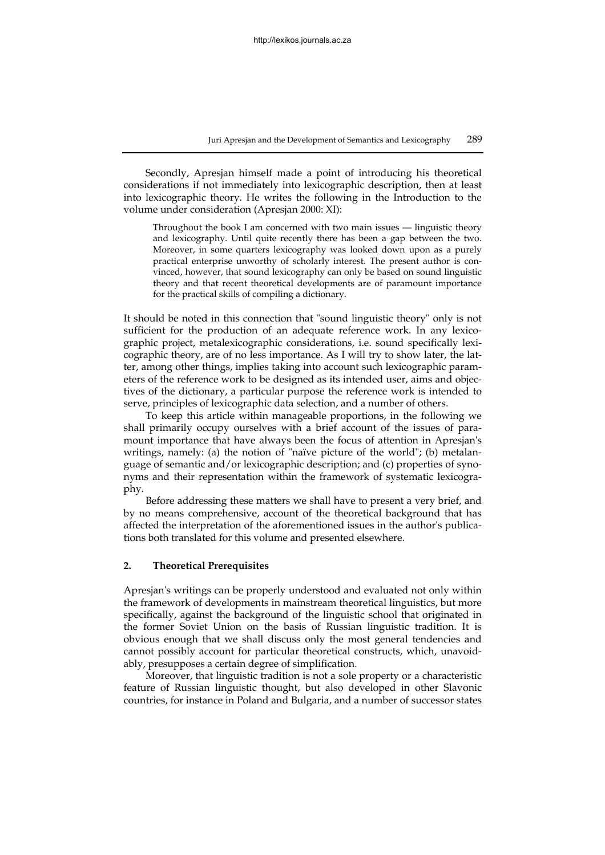Secondly, Apresjan himself made a point of introducing his theoretical considerations if not immediately into lexicographic description, then at least into lexicographic theory. He writes the following in the Introduction to the volume under consideration (Apresjan 2000: XI):

 Throughout the book I am concerned with two main issues — linguistic theory and lexicography. Until quite recently there has been a gap between the two. Moreover, in some quarters lexicography was looked down upon as a purely practical enterprise unworthy of scholarly interest. The present author is convinced, however, that sound lexicography can only be based on sound linguistic theory and that recent theoretical developments are of paramount importance for the practical skills of compiling a dictionary.

It should be noted in this connection that "sound linguistic theory" only is not sufficient for the production of an adequate reference work. In any lexicographic project, metalexicographic considerations, i.e. sound specifically lexicographic theory, are of no less importance. As I will try to show later, the latter, among other things, implies taking into account such lexicographic parameters of the reference work to be designed as its intended user, aims and objectives of the dictionary, a particular purpose the reference work is intended to serve, principles of lexicographic data selection, and a number of others.

To keep this article within manageable proportions, in the following we shall primarily occupy ourselves with a brief account of the issues of paramount importance that have always been the focus of attention in Apresjan's writings, namely: (a) the notion of "naïve picture of the world"; (b) metalanguage of semantic and/or lexicographic description; and (c) properties of synonyms and their representation within the framework of systematic lexicography.

Before addressing these matters we shall have to present a very brief, and by no means comprehensive, account of the theoretical background that has affected the interpretation of the aforementioned issues in the author's publications both translated for this volume and presented elsewhere.

#### **2. Theoretical Prerequisites**

Apresjan's writings can be properly understood and evaluated not only within the framework of developments in mainstream theoretical linguistics, but more specifically, against the background of the linguistic school that originated in the former Soviet Union on the basis of Russian linguistic tradition. It is obvious enough that we shall discuss only the most general tendencies and cannot possibly account for particular theoretical constructs, which, unavoidably, presupposes a certain degree of simplification.

Moreover, that linguistic tradition is not a sole property or a characteristic feature of Russian linguistic thought, but also developed in other Slavonic countries, for instance in Poland and Bulgaria, and a number of successor states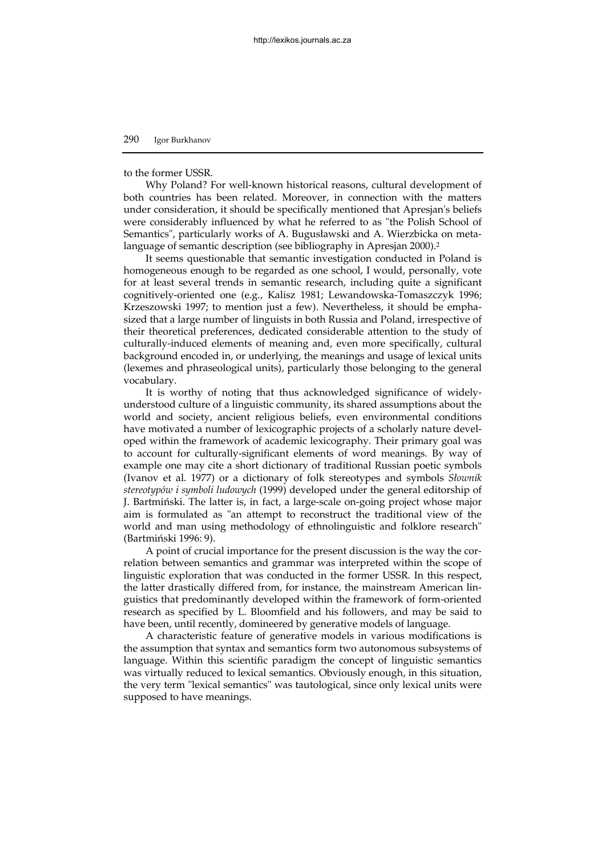to the former USSR.

Why Poland? For well-known historical reasons, cultural development of both countries has been related. Moreover, in connection with the matters under consideration, it should be specifically mentioned that Apresjan's beliefs were considerably influenced by what he referred to as "the Polish School of Semantics", particularly works of A. Bugusławski and A. Wierzbicka on metalanguage of semantic description (see bibliography in Apresjan 2000).<sup>2</sup>

It seems questionable that semantic investigation conducted in Poland is homogeneous enough to be regarded as one school, I would, personally, vote for at least several trends in semantic research, including quite a significant cognitively-oriented one (e.g., Kalisz 1981; Lewandowska-Tomaszczyk 1996; Krzeszowski 1997; to mention just a few). Nevertheless, it should be emphasized that a large number of linguists in both Russia and Poland, irrespective of their theoretical preferences, dedicated considerable attention to the study of culturally-induced elements of meaning and, even more specifically, cultural background encoded in, or underlying, the meanings and usage of lexical units (lexemes and phraseological units), particularly those belonging to the general vocabulary.

It is worthy of noting that thus acknowledged significance of widelyunderstood culture of a linguistic community, its shared assumptions about the world and society, ancient religious beliefs, even environmental conditions have motivated a number of lexicographic projects of a scholarly nature developed within the framework of academic lexicography. Their primary goal was to account for culturally-significant elements of word meanings. By way of example one may cite a short dictionary of traditional Russian poetic symbols (Ivanov et al. 1977) or a dictionary of folk stereotypes and symbols *Słownik stereotypów i symboli ludowych* (1999) developed under the general editorship of J. Bartmiński. The latter is, in fact, a large-scale on-going project whose major aim is formulated as "an attempt to reconstruct the traditional view of the world and man using methodology of ethnolinguistic and folklore research" (Bartmiński 1996: 9).

A point of crucial importance for the present discussion is the way the correlation between semantics and grammar was interpreted within the scope of linguistic exploration that was conducted in the former USSR. In this respect, the latter drastically differed from, for instance, the mainstream American linguistics that predominantly developed within the framework of form-oriented research as specified by L. Bloomfield and his followers, and may be said to have been, until recently, domineered by generative models of language.

A characteristic feature of generative models in various modifications is the assumption that syntax and semantics form two autonomous subsystems of language. Within this scientific paradigm the concept of linguistic semantics was virtually reduced to lexical semantics. Obviously enough, in this situation, the very term "lexical semantics" was tautological, since only lexical units were supposed to have meanings.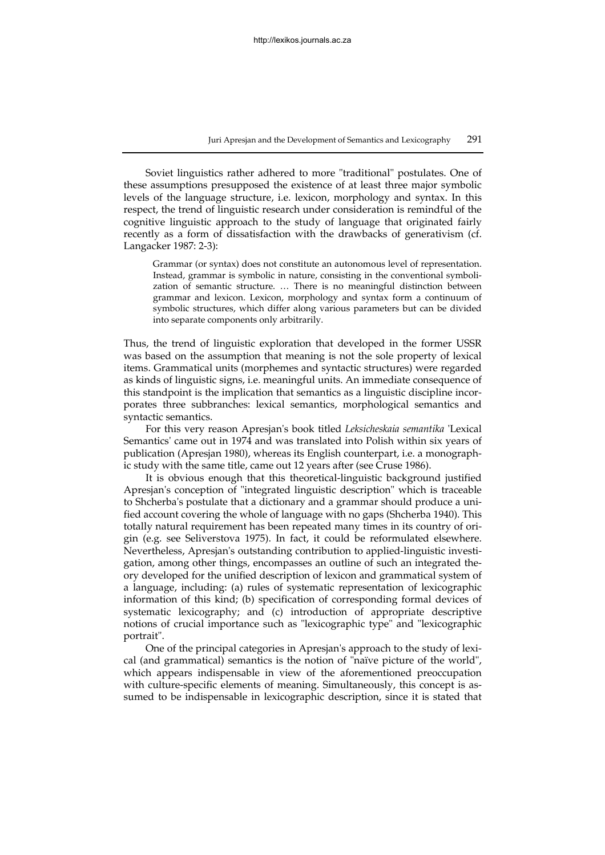Soviet linguistics rather adhered to more "traditional" postulates. One of these assumptions presupposed the existence of at least three major symbolic levels of the language structure, i.e. lexicon, morphology and syntax. In this respect, the trend of linguistic research under consideration is remindful of the cognitive linguistic approach to the study of language that originated fairly recently as a form of dissatisfaction with the drawbacks of generativism (cf. Langacker 1987: 2-3):

 Grammar (or syntax) does not constitute an autonomous level of representation. Instead, grammar is symbolic in nature, consisting in the conventional symbolization of semantic structure. … There is no meaningful distinction between grammar and lexicon. Lexicon, morphology and syntax form a continuum of symbolic structures, which differ along various parameters but can be divided into separate components only arbitrarily.

Thus, the trend of linguistic exploration that developed in the former USSR was based on the assumption that meaning is not the sole property of lexical items. Grammatical units (morphemes and syntactic structures) were regarded as kinds of linguistic signs, i.e. meaningful units. An immediate consequence of this standpoint is the implication that semantics as a linguistic discipline incorporates three subbranches: lexical semantics, morphological semantics and syntactic semantics.

For this very reason Apresjan's book titled *Leksicheskaia semantika* 'Lexical Semantics' came out in 1974 and was translated into Polish within six years of publication (Apresjan 1980), whereas its English counterpart, i.e. a monographic study with the same title, came out 12 years after (see Cruse 1986).

It is obvious enough that this theoretical-linguistic background justified Apresjan's conception of "integrated linguistic description" which is traceable to Shcherba's postulate that a dictionary and a grammar should produce a unified account covering the whole of language with no gaps (Shcherba 1940). This totally natural requirement has been repeated many times in its country of origin (e.g. see Seliverstova 1975). In fact, it could be reformulated elsewhere. Nevertheless, Apresjan's outstanding contribution to applied-linguistic investigation, among other things, encompasses an outline of such an integrated theory developed for the unified description of lexicon and grammatical system of a language, including: (a) rules of systematic representation of lexicographic information of this kind; (b) specification of corresponding formal devices of systematic lexicography; and (c) introduction of appropriate descriptive notions of crucial importance such as "lexicographic type" and "lexicographic portrait".

One of the principal categories in Apresjan's approach to the study of lexical (and grammatical) semantics is the notion of "naïve picture of the world", which appears indispensable in view of the aforementioned preoccupation with culture-specific elements of meaning. Simultaneously, this concept is assumed to be indispensable in lexicographic description, since it is stated that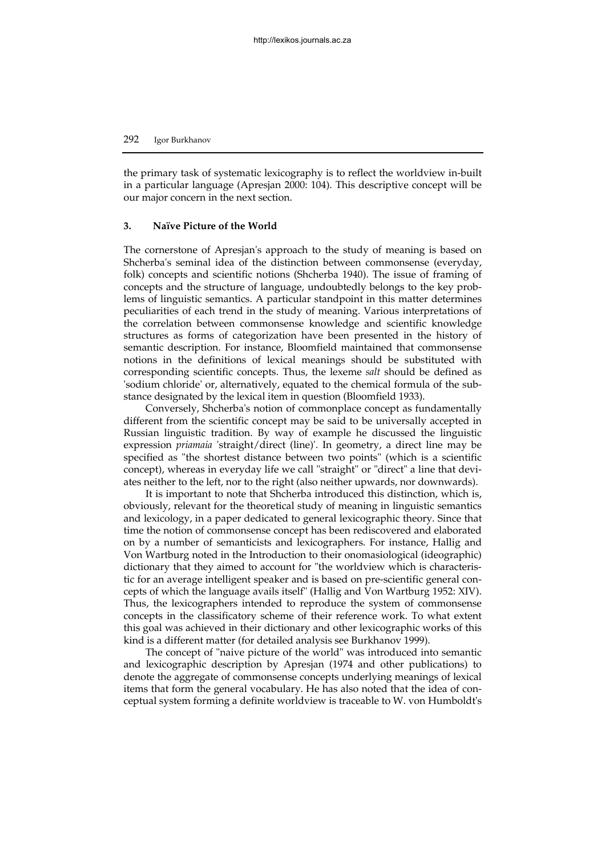the primary task of systematic lexicography is to reflect the worldview in-built in a particular language (Apresjan 2000: 104). This descriptive concept will be our major concern in the next section.

#### **3. Naïve Picture of the World**

The cornerstone of Apresjan's approach to the study of meaning is based on Shcherba's seminal idea of the distinction between commonsense (everyday, folk) concepts and scientific notions (Shcherba 1940). The issue of framing of concepts and the structure of language, undoubtedly belongs to the key problems of linguistic semantics. A particular standpoint in this matter determines peculiarities of each trend in the study of meaning. Various interpretations of the correlation between commonsense knowledge and scientific knowledge structures as forms of categorization have been presented in the history of semantic description. For instance, Bloomfield maintained that commonsense notions in the definitions of lexical meanings should be substituted with corresponding scientific concepts. Thus, the lexeme *salt* should be defined as 'sodium chloride' or, alternatively, equated to the chemical formula of the substance designated by the lexical item in question (Bloomfield 1933).

Conversely, Shcherba's notion of commonplace concept as fundamentally different from the scientific concept may be said to be universally accepted in Russian linguistic tradition. By way of example he discussed the linguistic expression *priamaia* 'straight/direct (line)'. In geometry, a direct line may be specified as "the shortest distance between two points" (which is a scientific concept), whereas in everyday life we call "straight" or "direct" a line that deviates neither to the left, nor to the right (also neither upwards, nor downwards).

It is important to note that Shcherba introduced this distinction, which is, obviously, relevant for the theoretical study of meaning in linguistic semantics and lexicology, in a paper dedicated to general lexicographic theory. Since that time the notion of commonsense concept has been rediscovered and elaborated on by a number of semanticists and lexicographers. For instance, Hallig and Von Wartburg noted in the Introduction to their onomasiological (ideographic) dictionary that they aimed to account for "the worldview which is characteristic for an average intelligent speaker and is based on pre-scientific general concepts of which the language avails itself" (Hallig and Von Wartburg 1952: XIV). Thus, the lexicographers intended to reproduce the system of commonsense concepts in the classificatory scheme of their reference work. To what extent this goal was achieved in their dictionary and other lexicographic works of this kind is a different matter (for detailed analysis see Burkhanov 1999).

The concept of "naive picture of the world" was introduced into semantic and lexicographic description by Apresjan (1974 and other publications) to denote the aggregate of commonsense concepts underlying meanings of lexical items that form the general vocabulary. He has also noted that the idea of conceptual system forming a definite worldview is traceable to W. von Humboldt's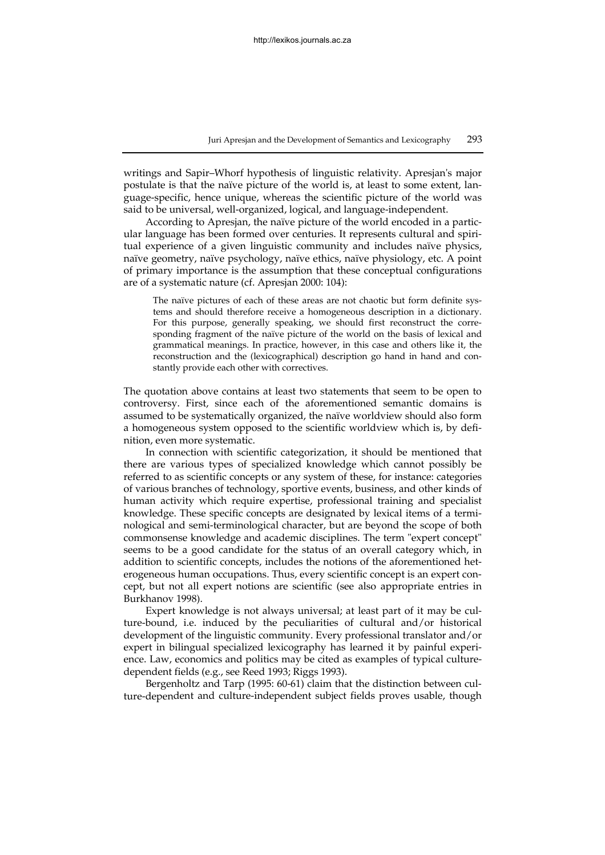writings and Sapir–Whorf hypothesis of linguistic relativity. Apresjan's major postulate is that the naïve picture of the world is, at least to some extent, language-specific, hence unique, whereas the scientific picture of the world was said to be universal, well-organized, logical, and language-independent.

According to Apresjan, the naïve picture of the world encoded in a particular language has been formed over centuries. It represents cultural and spiritual experience of a given linguistic community and includes naïve physics, naïve geometry, naïve psychology, naïve ethics, naïve physiology, etc. A point of primary importance is the assumption that these conceptual configurations are of a systematic nature (cf. Apresjan 2000: 104):

The naïve pictures of each of these areas are not chaotic but form definite systems and should therefore receive a homogeneous description in a dictionary. For this purpose, generally speaking, we should first reconstruct the corresponding fragment of the naïve picture of the world on the basis of lexical and grammatical meanings. In practice, however, in this case and others like it, the reconstruction and the (lexicographical) description go hand in hand and constantly provide each other with correctives.

The quotation above contains at least two statements that seem to be open to controversy. First, since each of the aforementioned semantic domains is assumed to be systematically organized, the naïve worldview should also form a homogeneous system opposed to the scientific worldview which is, by definition, even more systematic.

In connection with scientific categorization, it should be mentioned that there are various types of specialized knowledge which cannot possibly be referred to as scientific concepts or any system of these, for instance: categories of various branches of technology, sportive events, business, and other kinds of human activity which require expertise, professional training and specialist knowledge. These specific concepts are designated by lexical items of a terminological and semi-terminological character, but are beyond the scope of both commonsense knowledge and academic disciplines. The term "expert concept" seems to be a good candidate for the status of an overall category which, in addition to scientific concepts, includes the notions of the aforementioned heterogeneous human occupations. Thus, every scientific concept is an expert concept, but not all expert notions are scientific (see also appropriate entries in Burkhanov 1998).

Expert knowledge is not always universal; at least part of it may be culture-bound, i.e. induced by the peculiarities of cultural and/or historical development of the linguistic community. Every professional translator and/or expert in bilingual specialized lexicography has learned it by painful experience. Law, economics and politics may be cited as examples of typical culturedependent fields (e.g., see Reed 1993; Riggs 1993).

Bergenholtz and Tarp (1995: 60-61) claim that the distinction between culture-dependent and culture-independent subject fields proves usable, though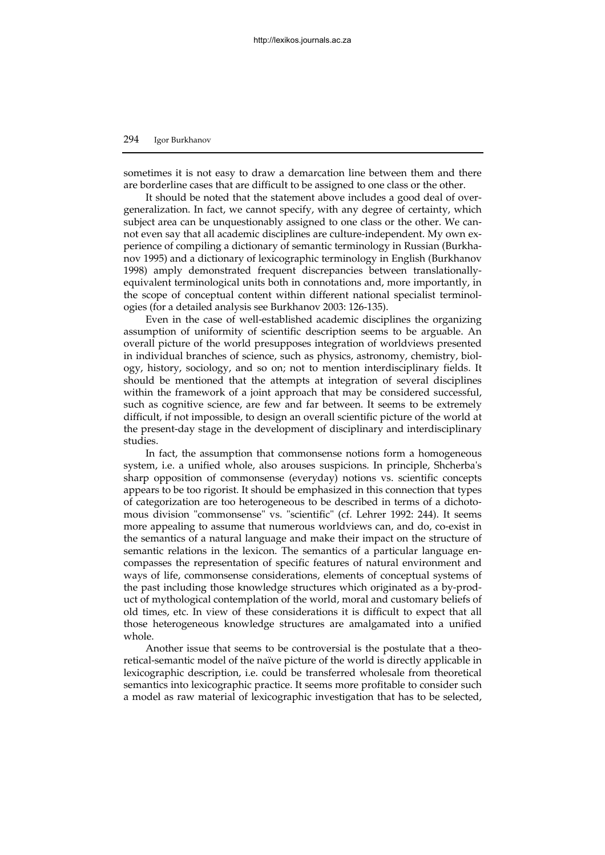sometimes it is not easy to draw a demarcation line between them and there are borderline cases that are difficult to be assigned to one class or the other.

It should be noted that the statement above includes a good deal of overgeneralization. In fact, we cannot specify, with any degree of certainty, which subject area can be unquestionably assigned to one class or the other. We cannot even say that all academic disciplines are culture-independent. My own experience of compiling a dictionary of semantic terminology in Russian (Burkhanov 1995) and a dictionary of lexicographic terminology in English (Burkhanov 1998) amply demonstrated frequent discrepancies between translationallyequivalent terminological units both in connotations and, more importantly, in the scope of conceptual content within different national specialist terminologies (for a detailed analysis see Burkhanov 2003: 126-135).

Even in the case of well-established academic disciplines the organizing assumption of uniformity of scientific description seems to be arguable. An overall picture of the world presupposes integration of worldviews presented in individual branches of science, such as physics, astronomy, chemistry, biology, history, sociology, and so on; not to mention interdisciplinary fields. It should be mentioned that the attempts at integration of several disciplines within the framework of a joint approach that may be considered successful, such as cognitive science, are few and far between. It seems to be extremely difficult, if not impossible, to design an overall scientific picture of the world at the present-day stage in the development of disciplinary and interdisciplinary studies.

In fact, the assumption that commonsense notions form a homogeneous system, i.e. a unified whole, also arouses suspicions. In principle, Shcherba's sharp opposition of commonsense (everyday) notions vs. scientific concepts appears to be too rigorist. It should be emphasized in this connection that types of categorization are too heterogeneous to be described in terms of a dichotomous division "commonsense" vs. "scientific" (cf. Lehrer 1992: 244). It seems more appealing to assume that numerous worldviews can, and do, co-exist in the semantics of a natural language and make their impact on the structure of semantic relations in the lexicon. The semantics of a particular language encompasses the representation of specific features of natural environment and ways of life, commonsense considerations, elements of conceptual systems of the past including those knowledge structures which originated as a by-product of mythological contemplation of the world, moral and customary beliefs of old times, etc. In view of these considerations it is difficult to expect that all those heterogeneous knowledge structures are amalgamated into a unified whole.

Another issue that seems to be controversial is the postulate that a theoretical-semantic model of the naïve picture of the world is directly applicable in lexicographic description, i.e. could be transferred wholesale from theoretical semantics into lexicographic practice. It seems more profitable to consider such a model as raw material of lexicographic investigation that has to be selected,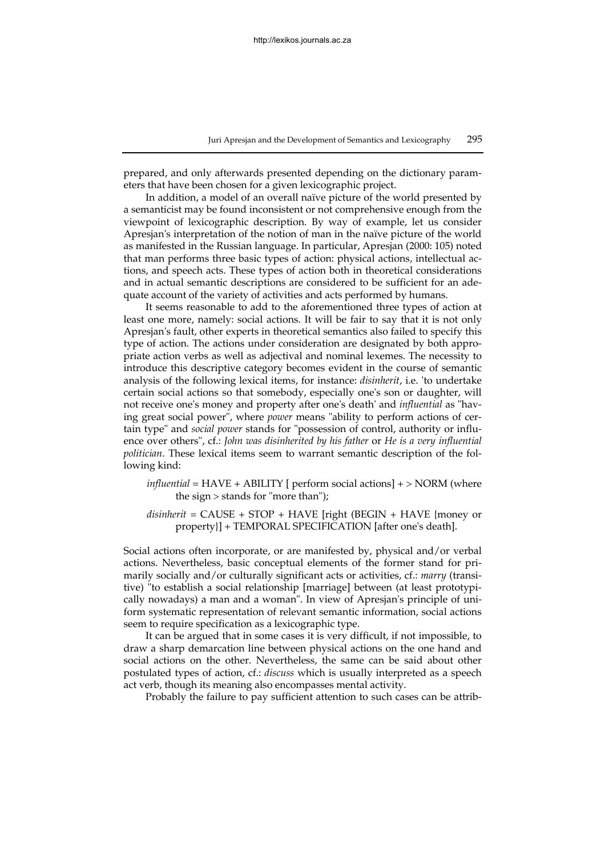prepared, and only afterwards presented depending on the dictionary parameters that have been chosen for a given lexicographic project.

In addition, a model of an overall naïve picture of the world presented by a semanticist may be found inconsistent or not comprehensive enough from the viewpoint of lexicographic description. By way of example, let us consider Apresjan's interpretation of the notion of man in the naïve picture of the world as manifested in the Russian language. In particular, Apresjan (2000: 105) noted that man performs three basic types of action: physical actions, intellectual actions, and speech acts. These types of action both in theoretical considerations and in actual semantic descriptions are considered to be sufficient for an adequate account of the variety of activities and acts performed by humans.

It seems reasonable to add to the aforementioned three types of action at least one more, namely: social actions. It will be fair to say that it is not only Apresjan's fault, other experts in theoretical semantics also failed to specify this type of action. The actions under consideration are designated by both appropriate action verbs as well as adjectival and nominal lexemes. The necessity to introduce this descriptive category becomes evident in the course of semantic analysis of the following lexical items, for instance: *disinherit*, i.e. 'to undertake certain social actions so that somebody, especially one's son or daughter, will not receive one's money and property after one's death' and *influential* as "having great social power", where *power* means "ability to perform actions of certain type" and *social power* stands for "possession of control, authority or influence over others", cf.: *John was disinherited by his father* or *He is a very influential politician*. These lexical items seem to warrant semantic description of the following kind:

*influential* = HAVE + ABILITY [ perform social actions] + > NORM (where the sign > stands for "more than");

*disinherit* = CAUSE + STOP + HAVE [right (BEGIN + HAVE {money or property}] + TEMPORAL SPECIFICATION [after one's death].

Social actions often incorporate, or are manifested by, physical and/or verbal actions. Nevertheless, basic conceptual elements of the former stand for primarily socially and/or culturally significant acts or activities, cf.: *marry* (transitive) "to establish a social relationship [marriage] between (at least prototypically nowadays) a man and a woman". In view of Apresjan's principle of uniform systematic representation of relevant semantic information, social actions seem to require specification as a lexicographic type.

It can be argued that in some cases it is very difficult, if not impossible, to draw a sharp demarcation line between physical actions on the one hand and social actions on the other. Nevertheless, the same can be said about other postulated types of action, cf.: *discuss* which is usually interpreted as a speech act verb, though its meaning also encompasses mental activity.

Probably the failure to pay sufficient attention to such cases can be attrib-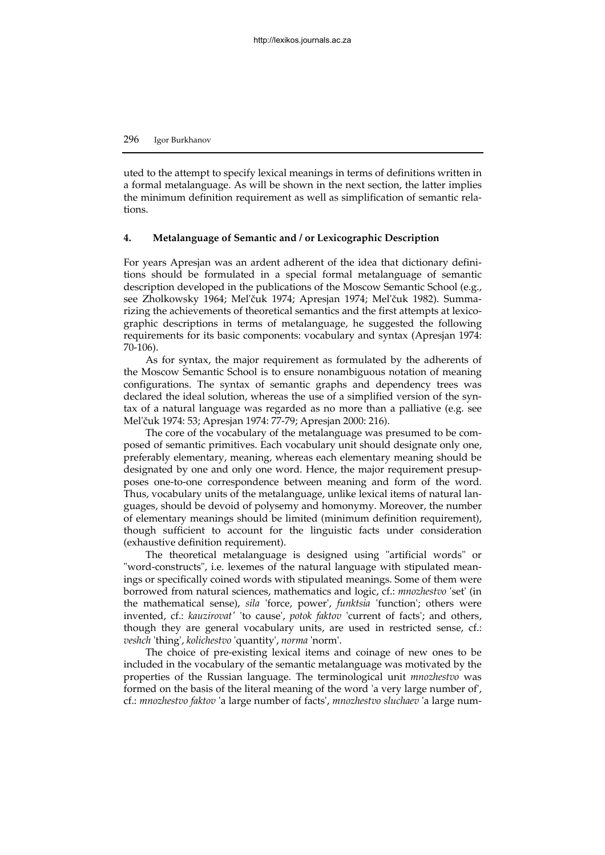uted to the attempt to specify lexical meanings in terms of definitions written in a formal metalanguage. As will be shown in the next section, the latter implies the minimum definition requirement as well as simplification of semantic relations.

# **4. Metalanguage of Semantic and / or Lexicographic Description**

For years Apresjan was an ardent adherent of the idea that dictionary definitions should be formulated in a special formal metalanguage of semantic description developed in the publications of the Moscow Semantic School (e.g., see Zholkowsky 1964; Mel'čuk 1974; Apresjan 1974; Mel'čuk 1982). Summarizing the achievements of theoretical semantics and the first attempts at lexicographic descriptions in terms of metalanguage, he suggested the following requirements for its basic components: vocabulary and syntax (Apresjan 1974: 70-106).

As for syntax, the major requirement as formulated by the adherents of the Moscow Semantic School is to ensure nonambiguous notation of meaning configurations. The syntax of semantic graphs and dependency trees was declared the ideal solution, whereas the use of a simplified version of the syntax of a natural language was regarded as no more than a palliative (e.g. see Mel'čuk 1974: 53; Apresjan 1974: 77-79; Apresjan 2000: 216).

The core of the vocabulary of the metalanguage was presumed to be composed of semantic primitives. Each vocabulary unit should designate only one, preferably elementary, meaning, whereas each elementary meaning should be designated by one and only one word. Hence, the major requirement presupposes one-to-one correspondence between meaning and form of the word. Thus, vocabulary units of the metalanguage, unlike lexical items of natural languages, should be devoid of polysemy and homonymy. Moreover, the number of elementary meanings should be limited (minimum definition requirement), though sufficient to account for the linguistic facts under consideration (exhaustive definition requirement).

The theoretical metalanguage is designed using "artificial words" or "word-constructs", i.e. lexemes of the natural language with stipulated meanings or specifically coined words with stipulated meanings. Some of them were borrowed from natural sciences, mathematics and logic, cf.: *mnozhestvo* 'set' (in the mathematical sense), *sila* 'force, power', *funktsia* 'function'; others were invented, cf.: *kauzirovat'* 'to cause', *potok faktov* 'current of facts'; and others, though they are general vocabulary units, are used in restricted sense, cf.: *veshch* 'thing', *kolichestvo* 'quantity', *norma* 'norm'.

The choice of pre-existing lexical items and coinage of new ones to be included in the vocabulary of the semantic metalanguage was motivated by the properties of the Russian language. The terminological unit *mnozhestvo* was formed on the basis of the literal meaning of the word 'a very large number of', cf.: *mnozhestvo faktov* 'a large number of facts', *mnozhestvo sluchaev* 'a large num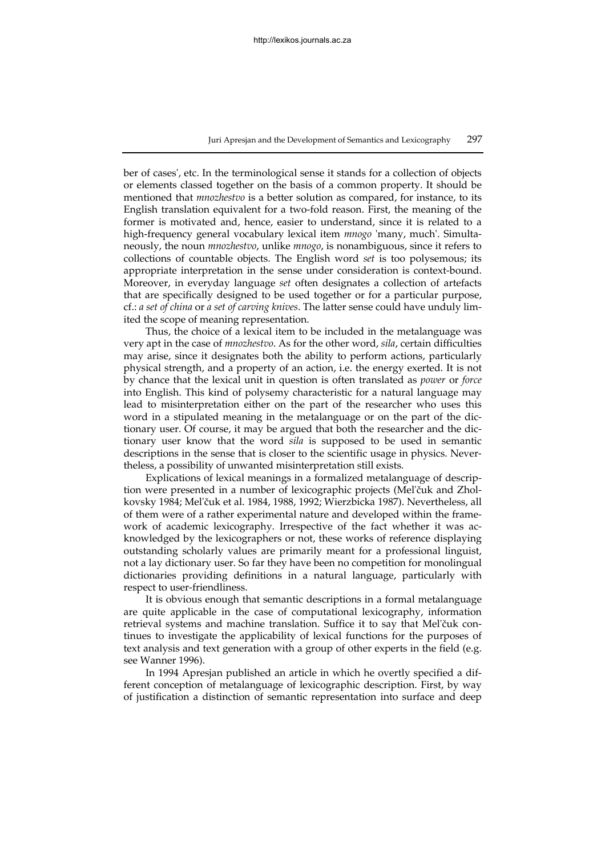ber of cases', etc. In the terminological sense it stands for a collection of objects or elements classed together on the basis of a common property. It should be mentioned that *mnozhestvo* is a better solution as compared, for instance, to its English translation equivalent for a two-fold reason. First, the meaning of the former is motivated and, hence, easier to understand, since it is related to a high-frequency general vocabulary lexical item *mnogo* 'many, much'. Simultaneously, the noun *mnozhestvo*, unlike *mnogo*, is nonambiguous, since it refers to collections of countable objects. The English word *set* is too polysemous; its appropriate interpretation in the sense under consideration is context-bound. Moreover, in everyday language *set* often designates a collection of artefacts that are specifically designed to be used together or for a particular purpose, cf.: *a set of china* or *a set of carving knives*. The latter sense could have unduly limited the scope of meaning representation.

Thus, the choice of a lexical item to be included in the metalanguage was very apt in the case of *mnozhestvo*. As for the other word, *sila*, certain difficulties may arise, since it designates both the ability to perform actions, particularly physical strength, and a property of an action, i.e. the energy exerted. It is not by chance that the lexical unit in question is often translated as *power* or *force*  into English. This kind of polysemy characteristic for a natural language may lead to misinterpretation either on the part of the researcher who uses this word in a stipulated meaning in the metalanguage or on the part of the dictionary user. Of course, it may be argued that both the researcher and the dictionary user know that the word *sila* is supposed to be used in semantic descriptions in the sense that is closer to the scientific usage in physics. Nevertheless, a possibility of unwanted misinterpretation still exists.

Explications of lexical meanings in a formalized metalanguage of description were presented in a number of lexicographic projects (Mel'čuk and Zholkovsky 1984; Mel'čuk et al. 1984, 1988, 1992; Wierzbicka 1987). Nevertheless, all of them were of a rather experimental nature and developed within the framework of academic lexicography. Irrespective of the fact whether it was acknowledged by the lexicographers or not, these works of reference displaying outstanding scholarly values are primarily meant for a professional linguist, not a lay dictionary user. So far they have been no competition for monolingual dictionaries providing definitions in a natural language, particularly with respect to user-friendliness.

It is obvious enough that semantic descriptions in a formal metalanguage are quite applicable in the case of computational lexicography, information retrieval systems and machine translation. Suffice it to say that Mel'čuk continues to investigate the applicability of lexical functions for the purposes of text analysis and text generation with a group of other experts in the field (e.g. see Wanner 1996).

In 1994 Apresjan published an article in which he overtly specified a different conception of metalanguage of lexicographic description. First, by way of justification a distinction of semantic representation into surface and deep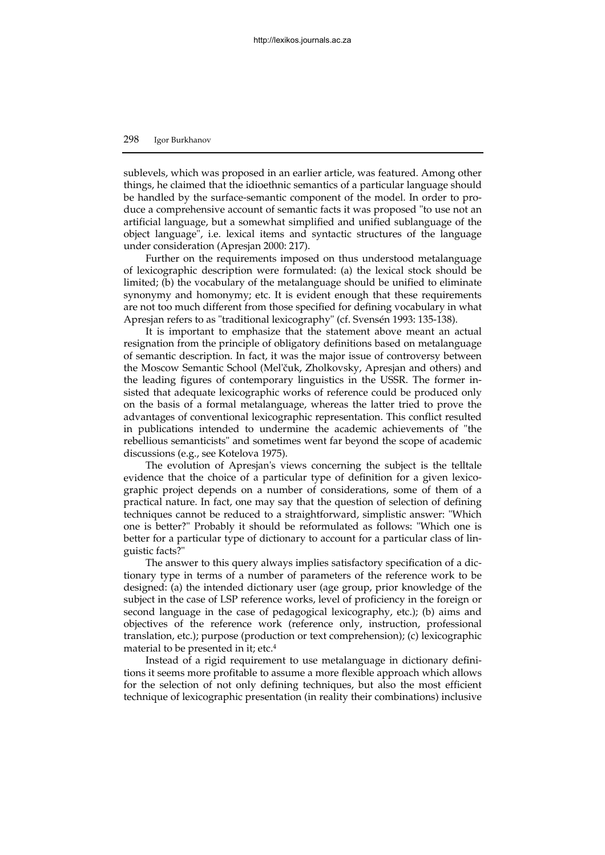sublevels, which was proposed in an earlier article, was featured. Among other things, he claimed that the idioethnic semantics of a particular language should be handled by the surface-semantic component of the model. In order to produce a comprehensive account of semantic facts it was proposed "to use not an artificial language, but a somewhat simplified and unified sublanguage of the object language", i.e. lexical items and syntactic structures of the language under consideration (Apresjan 2000: 217).

Further on the requirements imposed on thus understood metalanguage of lexicographic description were formulated: (a) the lexical stock should be limited; (b) the vocabulary of the metalanguage should be unified to eliminate synonymy and homonymy; etc. It is evident enough that these requirements are not too much different from those specified for defining vocabulary in what Apresjan refers to as "traditional lexicography" (cf. Svensén 1993: 135-138).

It is important to emphasize that the statement above meant an actual resignation from the principle of obligatory definitions based on metalanguage of semantic description. In fact, it was the major issue of controversy between the Moscow Semantic School (Mel'čuk, Zholkovsky, Apresjan and others) and the leading figures of contemporary linguistics in the USSR. The former insisted that adequate lexicographic works of reference could be produced only on the basis of a formal metalanguage, whereas the latter tried to prove the advantages of conventional lexicographic representation. This conflict resulted in publications intended to undermine the academic achievements of "the rebellious semanticists" and sometimes went far beyond the scope of academic discussions (e.g., see Kotelova 1975).

The evolution of Apresjan's views concerning the subject is the telltale evidence that the choice of a particular type of definition for a given lexicographic project depends on a number of considerations, some of them of a practical nature. In fact, one may say that the question of selection of defining techniques cannot be reduced to a straightforward, simplistic answer: "Which one is better?" Probably it should be reformulated as follows: "Which one is better for a particular type of dictionary to account for a particular class of linguistic facts?"

The answer to this query always implies satisfactory specification of a dictionary type in terms of a number of parameters of the reference work to be designed: (a) the intended dictionary user (age group, prior knowledge of the subject in the case of LSP reference works, level of proficiency in the foreign or second language in the case of pedagogical lexicography, etc.); (b) aims and objectives of the reference work (reference only, instruction, professional translation, etc.); purpose (production or text comprehension); (c) lexicographic material to be presented in it; etc.4

Instead of a rigid requirement to use metalanguage in dictionary definitions it seems more profitable to assume a more flexible approach which allows for the selection of not only defining techniques, but also the most efficient technique of lexicographic presentation (in reality their combinations) inclusive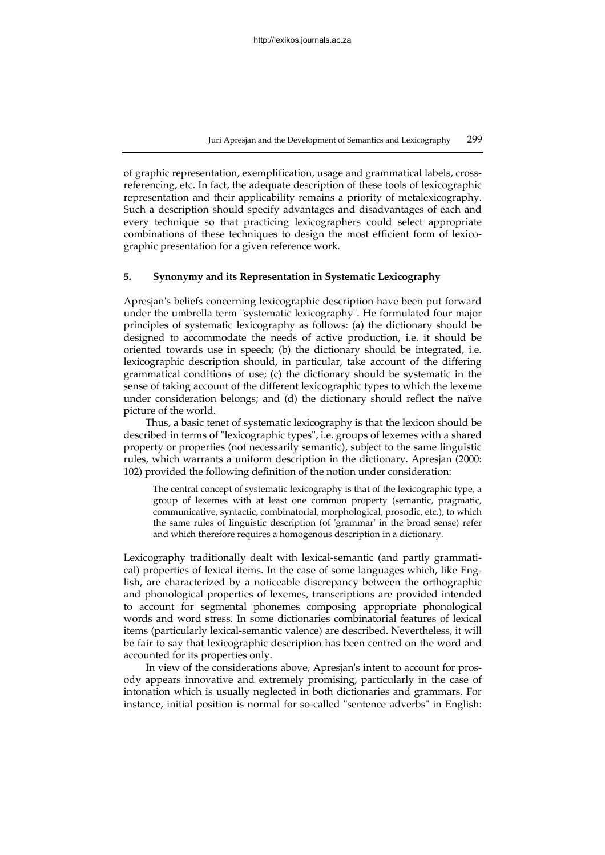of graphic representation, exemplification, usage and grammatical labels, crossreferencing, etc. In fact, the adequate description of these tools of lexicographic representation and their applicability remains a priority of metalexicography. Such a description should specify advantages and disadvantages of each and every technique so that practicing lexicographers could select appropriate combinations of these techniques to design the most efficient form of lexicographic presentation for a given reference work.

## **5. Synonymy and its Representation in Systematic Lexicography**

Apresjan's beliefs concerning lexicographic description have been put forward under the umbrella term "systematic lexicography". He formulated four major principles of systematic lexicography as follows: (a) the dictionary should be designed to accommodate the needs of active production, i.e. it should be oriented towards use in speech; (b) the dictionary should be integrated, i.e. lexicographic description should, in particular, take account of the differing grammatical conditions of use; (c) the dictionary should be systematic in the sense of taking account of the different lexicographic types to which the lexeme under consideration belongs; and (d) the dictionary should reflect the naïve picture of the world.

Thus, a basic tenet of systematic lexicography is that the lexicon should be described in terms of "lexicographic types", i.e. groups of lexemes with a shared property or properties (not necessarily semantic), subject to the same linguistic rules, which warrants a uniform description in the dictionary. Apresjan (2000: 102) provided the following definition of the notion under consideration:

The central concept of systematic lexicography is that of the lexicographic type, a group of lexemes with at least one common property (semantic, pragmatic, communicative, syntactic, combinatorial, morphological, prosodic, etc.), to which the same rules of linguistic description (of 'grammar' in the broad sense) refer and which therefore requires a homogenous description in a dictionary.

Lexicography traditionally dealt with lexical-semantic (and partly grammatical) properties of lexical items. In the case of some languages which, like English, are characterized by a noticeable discrepancy between the orthographic and phonological properties of lexemes, transcriptions are provided intended to account for segmental phonemes composing appropriate phonological words and word stress. In some dictionaries combinatorial features of lexical items (particularly lexical-semantic valence) are described. Nevertheless, it will be fair to say that lexicographic description has been centred on the word and accounted for its properties only.

In view of the considerations above, Apresjan's intent to account for prosody appears innovative and extremely promising, particularly in the case of intonation which is usually neglected in both dictionaries and grammars. For instance, initial position is normal for so-called "sentence adverbs" in English: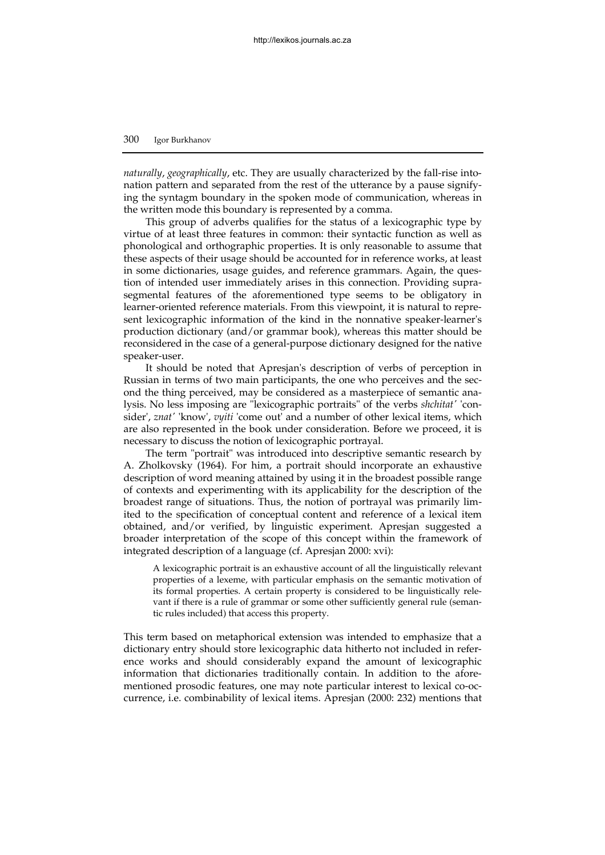*naturally*, *geographically*, etc. They are usually characterized by the fall-rise intonation pattern and separated from the rest of the utterance by a pause signifying the syntagm boundary in the spoken mode of communication, whereas in the written mode this boundary is represented by a comma.

This group of adverbs qualifies for the status of a lexicographic type by virtue of at least three features in common: their syntactic function as well as phonological and orthographic properties. It is only reasonable to assume that these aspects of their usage should be accounted for in reference works, at least in some dictionaries, usage guides, and reference grammars. Again, the question of intended user immediately arises in this connection. Providing suprasegmental features of the aforementioned type seems to be obligatory in learner-oriented reference materials. From this viewpoint, it is natural to represent lexicographic information of the kind in the nonnative speaker-learner's production dictionary (and/or grammar book), whereas this matter should be reconsidered in the case of a general-purpose dictionary designed for the native speaker-user.

It should be noted that Apresjan's description of verbs of perception in Russian in terms of two main participants, the one who perceives and the second the thing perceived, may be considered as a masterpiece of semantic analysis. No less imposing are "lexicographic portraits" of the verbs *shchitat'* 'consider', *znat'* 'know', *vyiti* 'come out' and a number of other lexical items, which are also represented in the book under consideration. Before we proceed, it is necessary to discuss the notion of lexicographic portrayal.

The term "portrait" was introduced into descriptive semantic research by A. Zholkovsky (1964). For him, a portrait should incorporate an exhaustive description of word meaning attained by using it in the broadest possible range of contexts and experimenting with its applicability for the description of the broadest range of situations. Thus, the notion of portrayal was primarily limited to the specification of conceptual content and reference of a lexical item obtained, and/or verified, by linguistic experiment. Apresjan suggested a broader interpretation of the scope of this concept within the framework of integrated description of a language (cf. Apresjan 2000: xvi):

 A lexicographic portrait is an exhaustive account of all the linguistically relevant properties of a lexeme, with particular emphasis on the semantic motivation of its formal properties. A certain property is considered to be linguistically relevant if there is a rule of grammar or some other sufficiently general rule (semantic rules included) that access this property.

This term based on metaphorical extension was intended to emphasize that a dictionary entry should store lexicographic data hitherto not included in reference works and should considerably expand the amount of lexicographic information that dictionaries traditionally contain. In addition to the aforementioned prosodic features, one may note particular interest to lexical co-occurrence, i.e. combinability of lexical items. Apresjan (2000: 232) mentions that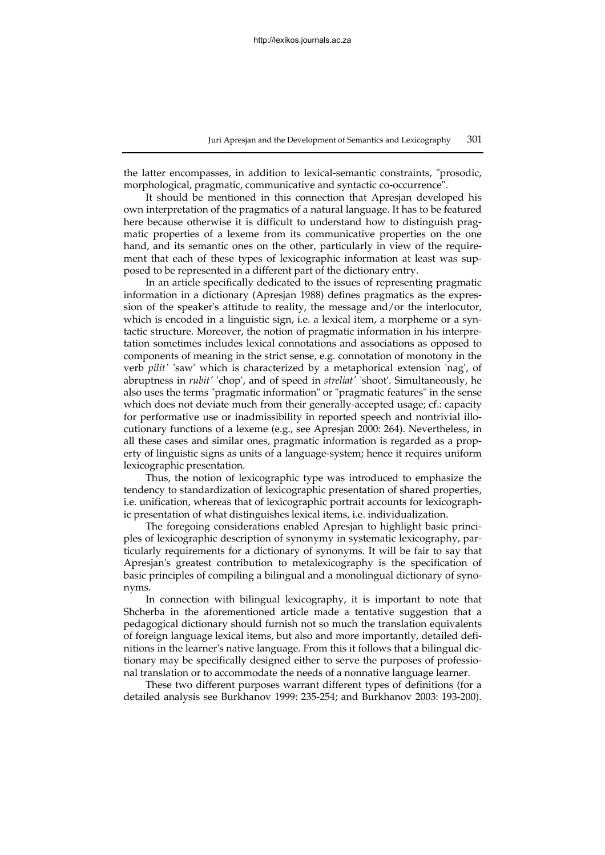the latter encompasses, in addition to lexical-semantic constraints, "prosodic, morphological, pragmatic, communicative and syntactic co-occurrence".

It should be mentioned in this connection that Apresjan developed his own interpretation of the pragmatics of a natural language. It has to be featured here because otherwise it is difficult to understand how to distinguish pragmatic properties of a lexeme from its communicative properties on the one hand, and its semantic ones on the other, particularly in view of the requirement that each of these types of lexicographic information at least was supposed to be represented in a different part of the dictionary entry.

In an article specifically dedicated to the issues of representing pragmatic information in a dictionary (Apresjan 1988) defines pragmatics as the expression of the speaker's attitude to reality, the message and/or the interlocutor, which is encoded in a linguistic sign, i.e. a lexical item, a morpheme or a syntactic structure. Moreover, the notion of pragmatic information in his interpretation sometimes includes lexical connotations and associations as opposed to components of meaning in the strict sense, e.g. connotation of monotony in the verb *pilit'* 'saw' which is characterized by a metaphorical extension 'nag', of abruptness in *rubit'* 'chop', and of speed in *streliat'* 'shoot'. Simultaneously, he also uses the terms "pragmatic information" or "pragmatic features" in the sense which does not deviate much from their generally-accepted usage; cf.: capacity for performative use or inadmissibility in reported speech and nontrivial illocutionary functions of a lexeme (e.g., see Apresjan 2000: 264). Nevertheless, in all these cases and similar ones, pragmatic information is regarded as a property of linguistic signs as units of a language-system; hence it requires uniform lexicographic presentation.

Thus, the notion of lexicographic type was introduced to emphasize the tendency to standardization of lexicographic presentation of shared properties, i.e. unification, whereas that of lexicographic portrait accounts for lexicographic presentation of what distinguishes lexical items, i.e. individualization.

The foregoing considerations enabled Apresjan to highlight basic principles of lexicographic description of synonymy in systematic lexicography, particularly requirements for a dictionary of synonyms. It will be fair to say that Apresjan's greatest contribution to metalexicography is the specification of basic principles of compiling a bilingual and a monolingual dictionary of synonyms.

In connection with bilingual lexicography, it is important to note that Shcherba in the aforementioned article made a tentative suggestion that a pedagogical dictionary should furnish not so much the translation equivalents of foreign language lexical items, but also and more importantly, detailed definitions in the learner's native language. From this it follows that a bilingual dictionary may be specifically designed either to serve the purposes of professional translation or to accommodate the needs of a nonnative language learner.

These two different purposes warrant different types of definitions (for a detailed analysis see Burkhanov 1999: 235-254; and Burkhanov 2003: 193-200).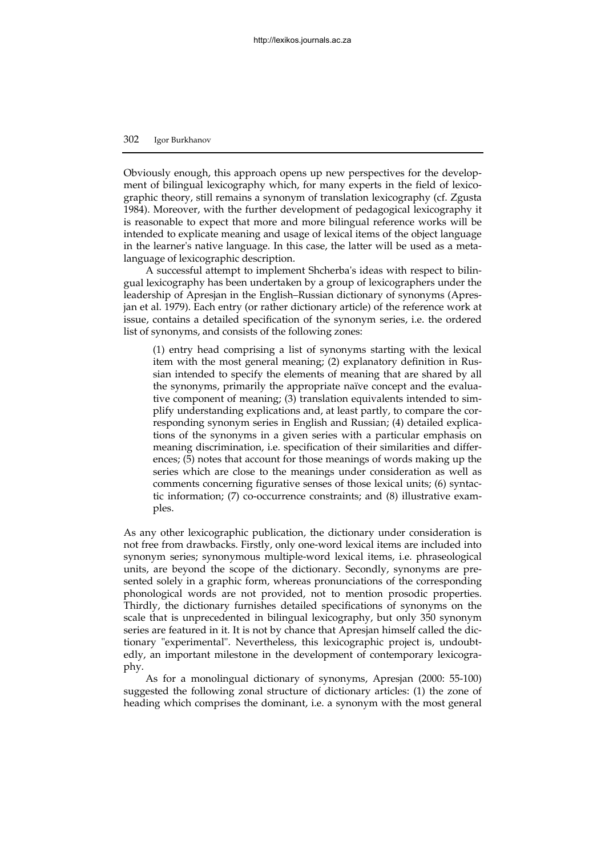Obviously enough, this approach opens up new perspectives for the development of bilingual lexicography which, for many experts in the field of lexicographic theory, still remains a synonym of translation lexicography (cf. Zgusta 1984). Moreover, with the further development of pedagogical lexicography it is reasonable to expect that more and more bilingual reference works will be intended to explicate meaning and usage of lexical items of the object language in the learner's native language. In this case, the latter will be used as a metalanguage of lexicographic description.

A successful attempt to implement Shcherba's ideas with respect to bilingual lexicography has been undertaken by a group of lexicographers under the leadership of Apresjan in the English–Russian dictionary of synonyms (Apresjan et al. 1979). Each entry (or rather dictionary article) of the reference work at issue, contains a detailed specification of the synonym series, i.e. the ordered list of synonyms, and consists of the following zones:

 (1) entry head comprising a list of synonyms starting with the lexical item with the most general meaning; (2) explanatory definition in Russian intended to specify the elements of meaning that are shared by all the synonyms, primarily the appropriate naïve concept and the evaluative component of meaning; (3) translation equivalents intended to simplify understanding explications and, at least partly, to compare the corresponding synonym series in English and Russian; (4) detailed explications of the synonyms in a given series with a particular emphasis on meaning discrimination, i.e. specification of their similarities and differences; (5) notes that account for those meanings of words making up the series which are close to the meanings under consideration as well as comments concerning figurative senses of those lexical units; (6) syntactic information; (7) co-occurrence constraints; and (8) illustrative examples.

As any other lexicographic publication, the dictionary under consideration is not free from drawbacks. Firstly, only one-word lexical items are included into synonym series; synonymous multiple-word lexical items, i.e. phraseological units, are beyond the scope of the dictionary. Secondly, synonyms are presented solely in a graphic form, whereas pronunciations of the corresponding phonological words are not provided, not to mention prosodic properties. Thirdly, the dictionary furnishes detailed specifications of synonyms on the scale that is unprecedented in bilingual lexicography, but only 350 synonym series are featured in it. It is not by chance that Apresjan himself called the dictionary "experimental". Nevertheless, this lexicographic project is, undoubtedly, an important milestone in the development of contemporary lexicography.

As for a monolingual dictionary of synonyms, Apresjan (2000: 55-100) suggested the following zonal structure of dictionary articles: (1) the zone of heading which comprises the dominant, i.e. a synonym with the most general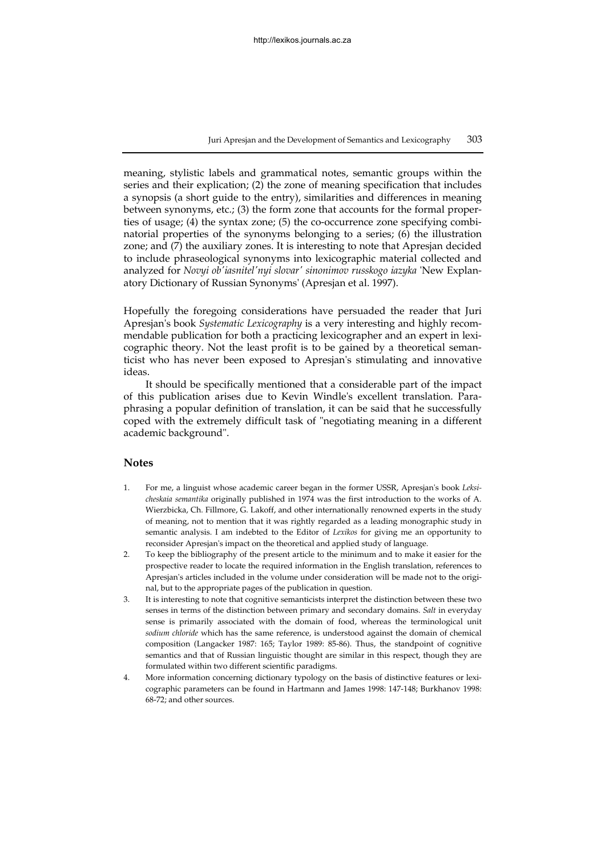meaning, stylistic labels and grammatical notes, semantic groups within the series and their explication; (2) the zone of meaning specification that includes a synopsis (a short guide to the entry), similarities and differences in meaning between synonyms, etc.; (3) the form zone that accounts for the formal properties of usage; (4) the syntax zone; (5) the co-occurrence zone specifying combinatorial properties of the synonyms belonging to a series; (6) the illustration zone; and (7) the auxiliary zones. It is interesting to note that Apresjan decided to include phraseological synonyms into lexicographic material collected and analyzed for *Novyi ob'iasnitel'nyi slovar' sinonimov russkogo iazyka* 'New Explanatory Dictionary of Russian Synonyms' (Apresjan et al. 1997).

Hopefully the foregoing considerations have persuaded the reader that Juri Apresjan's book *Systematic Lexicography* is a very interesting and highly recommendable publication for both a practicing lexicographer and an expert in lexicographic theory. Not the least profit is to be gained by a theoretical semanticist who has never been exposed to Apresjan's stimulating and innovative ideas.

It should be specifically mentioned that a considerable part of the impact of this publication arises due to Kevin Windle's excellent translation. Paraphrasing a popular definition of translation, it can be said that he successfully coped with the extremely difficult task of "negotiating meaning in a different academic background".

# **Notes**

- 1. For me, a linguist whose academic career began in the former USSR, Apresjan's book *Leksicheskaia semantika* originally published in 1974 was the first introduction to the works of A. Wierzbicka, Ch. Fillmore, G. Lakoff, and other internationally renowned experts in the study of meaning, not to mention that it was rightly regarded as a leading monographic study in semantic analysis. I am indebted to the Editor of *Lexikos* for giving me an opportunity to reconsider Apresjan's impact on the theoretical and applied study of language.
- 2. To keep the bibliography of the present article to the minimum and to make it easier for the prospective reader to locate the required information in the English translation, references to Apresjan's articles included in the volume under consideration will be made not to the original, but to the appropriate pages of the publication in question.
- 3. It is interesting to note that cognitive semanticists interpret the distinction between these two senses in terms of the distinction between primary and secondary domains. *Salt* in everyday sense is primarily associated with the domain of food, whereas the terminological unit *sodium chloride* which has the same reference, is understood against the domain of chemical composition (Langacker 1987: 165; Taylor 1989: 85-86). Thus, the standpoint of cognitive semantics and that of Russian linguistic thought are similar in this respect, though they are formulated within two different scientific paradigms.
- 4. More information concerning dictionary typology on the basis of distinctive features or lexicographic parameters can be found in Hartmann and James 1998: 147-148; Burkhanov 1998: 68-72; and other sources.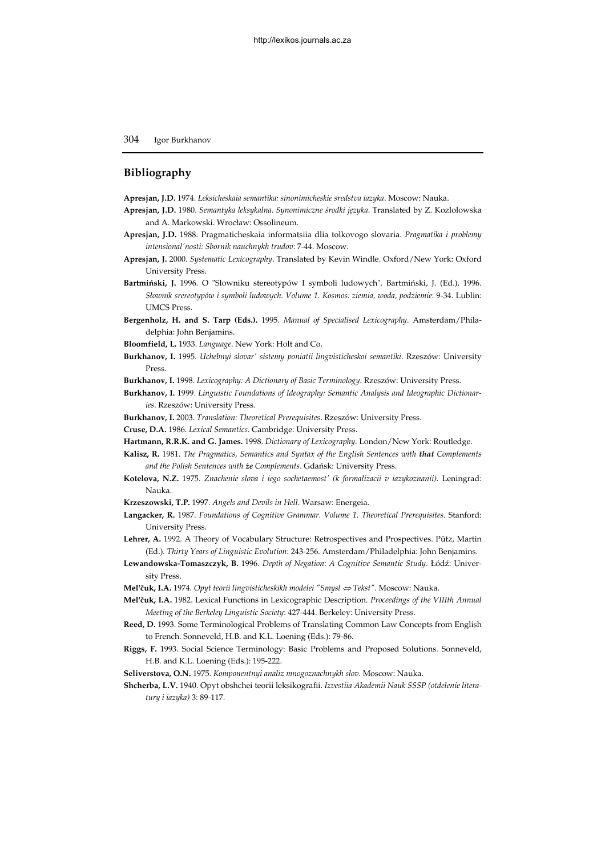# **Bibliography**

**Apresjan, J.D.** 1974. *Leksicheskaia semantika: sinonimicheskie sredstva iazyka*. Moscow: Nauka.

- **Apresjan, J.D.** 1980. *Semantyka leksykalna. Synonimiczne środki języka*. Translated by Z. Kozlołowska and A. Markowski. Wrocław: Ossolineum.
- **Apresjan, J.D.** 1988. Pragmaticheskaia informatsiia dlia tolkovogo slovaria. *Pragmatika i problemy intensional'nosti: Sbornik nauchnykh trudov*: 7-44. Moscow.
- **Apresjan, J.** 2000. *Systematic Lexicography*. Translated by Kevin Windle. Oxford/New York: Oxford University Press.
- **Bartmiński, J.** 1996. O "Słowniku stereotypów I symboli ludowych". Bartmiński, J. (Ed.). 1996. *Słownik srereotypów i symboli ludowych. Volume 1*. *Kosmos: ziemia, woda, podziemie*: 9-34. Lublin: UMCS Press.
- **Bergenholz, H. and S. Tarp (Eds.).** 1995. *Manual of Specialised Lexicography*. Amsterdam/Philadelphia: John Benjamins.
- **Bloomfield, L.** 1933. *Language*. New York: Holt and Co.
- **Burkhanov, I.** 1995. *Uchebnyi slovar' sistemy poniatii lingvisticheskoi semantiki*. Rzeszów: University Press.
- **Burkhanov, I.** 1998. *Lexicography: A Dictionary of Basic Terminology*. Rzeszów: University Press.
- **Burkhanov, I.** 1999. *Linguistic Foundations of Ideography: Semantic Analysis and Ideographic Dictionaries*. Rzeszów: University Press.
- **Burkhanov, I.** 2003. *Translation: Theoretical Prerequisites*. Rzeszów: University Press.
- **Cruse, D.A.** 1986. *Lexical Semantics*. Cambridge: University Press.
- **Hartmann, R.R.K. and G. James.** 1998. *Dictionary of Lexicography*. London/New York: Routledge.
- **Kalisz, R.** 1981. *The Pragmatics, Semantics and Syntax of the English Sentences with that Complements and the Polish Sentences with że Complements*. Gdańsk: University Press.
- **Kotelova, N.Z.** 1975. *Znachenie slova i iego sochetaemost' (k formalizacii v iazykoznanii)*. Leningrad: Nauka.
- **Krzeszowski, T.P.** 1997. *Angels and Devils in Hell*. Warsaw: Energeia.
- **Langacker, R.** 1987. *Foundations of Cognitive Grammar. Volume 1. Theoretical Prerequisites*. Stanford: University Press.
- **Lehrer, A.** 1992. A Theory of Vocabulary Structure: Retrospectives and Prospectives. Pütz, Martin (Ed.). *Thirty Years of Linguistic Evolution*: 243-256. Amsterdam/Philadelphia: John Benjamins.
- **Lewandowska-Tomaszczyk, B.** 1996. *Depth of Negation: A Cognitive Semantic Study*. Łódź: University Press.
- **Mel'čuk, I.A.** 1974. *Opyt teorii lingvisticheskikh modelei "Smysl* ⇔ *Tekst"*. Moscow: Nauka.
- **Mel'čuk, I.A.** 1982. Lexical Functions in Lexicographic Description. *Proceedings of the VIIIth Annual Meeting of the Berkeley Linguistic Society*: 427-444. Berkeley: University Press.
- **Reed, D.** 1993. Some Terminological Problems of Translating Common Law Concepts from English to French. Sonneveld, H.B. and K.L. Loening (Eds.): 79-86.
- **Riggs, F.** 1993. Social Science Terminology: Basic Problems and Proposed Solutions. Sonneveld, H.B. and K.L. Loening (Eds.): 195-222.
- **Seliverstova, O.N.** 1975. *Komponentnyi analiz mnogoznachnykh slov*. Moscow: Nauka.
- **Shcherba, L.V.** 1940. Opyt obshchei teorii leksikografii. *Izvestiia Akademii Nauk SSSP (otdelenie literatury i iazyka)* 3: 89-117.